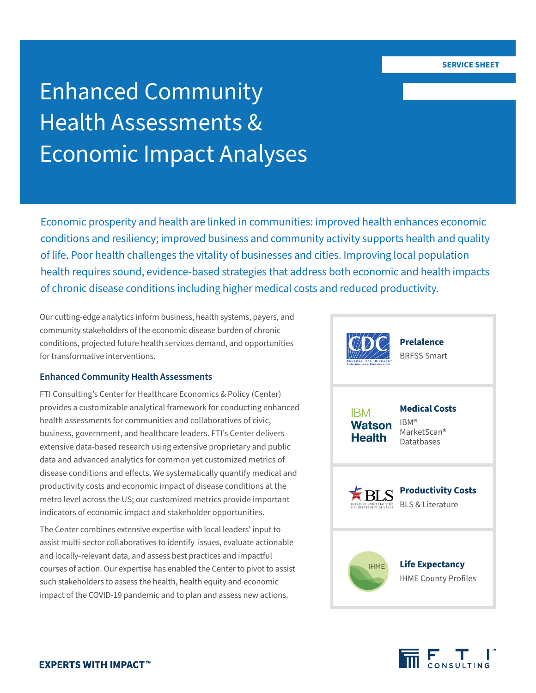#### **SERVICE SHEET**

# Enhanced Community Health Assessments & Economic Impact Analyses

Economic prosperity and health are linked in communities: improved health enhances economic conditions and resiliency; improved business and community activity supports health and quality of life. Poor health challenges the vitality of businesses and cities. Improving local population health requires sound, evidence-based strategies that address both economic and health impacts of chronic disease conditions including higher medical costs and reduced productivity.

Our cutting-edge analytics inform business, health systems, payers, and community stakeholders of the economic disease burden of chronic conditions, projected future health services demand, and opportunities for transformative interventions.

## **Enhanced Community Health Assessments**

FTI Consulting's Center for Healthcare Economics & Policy (Center) provides a customizable analytical framework for conducting enhanced health assessments for communities and collaboratives of civic, business, government, and healthcare leaders. FTI's Center delivers extensive data-based research using extensive proprietary and public data and advanced analytics for common yet customized metrics of disease conditions and effects. We systematically quantify medical and productivity costs and economic impact of disease conditions at the metro level across the US; our customized metrics provide important indicators of economic impact and stakeholder opportunities.

The Center combines extensive expertise with local leaders' input to assist multi-sector collaboratives to identify issues, evaluate actionable and locally-relevant data, and assess best practices and impactful courses of action. Our expertise has enabled the Center to pivot to assist such stakeholders to assess the health, health equity and economic impact of the COVID-19 pandemic and to plan and assess new actions.

| <b>CENTERS</b><br>FOR<br><b>DISEASE</b><br><b>CONTROL AND PREVENTION</b> | <b>Prelalence</b><br><b>BRFSS Smart</b>                               |
|--------------------------------------------------------------------------|-----------------------------------------------------------------------|
| <b>IBM</b><br><b>Watson</b><br><b>Health</b>                             | <b>Medical Costs</b><br>IBM <sup>®</sup><br>MarketScan®<br>Datatbases |
| <b>BUREAU OF LAROR STATIS'</b><br><b>U.S. DEPARTMENT OF LABOR</b>        | <b>Productivity Costs</b><br>BLS & Literature                         |
| <b>IHMF</b>                                                              | <b>Life Expectancy</b><br><b>IHME County Profiles</b>                 |